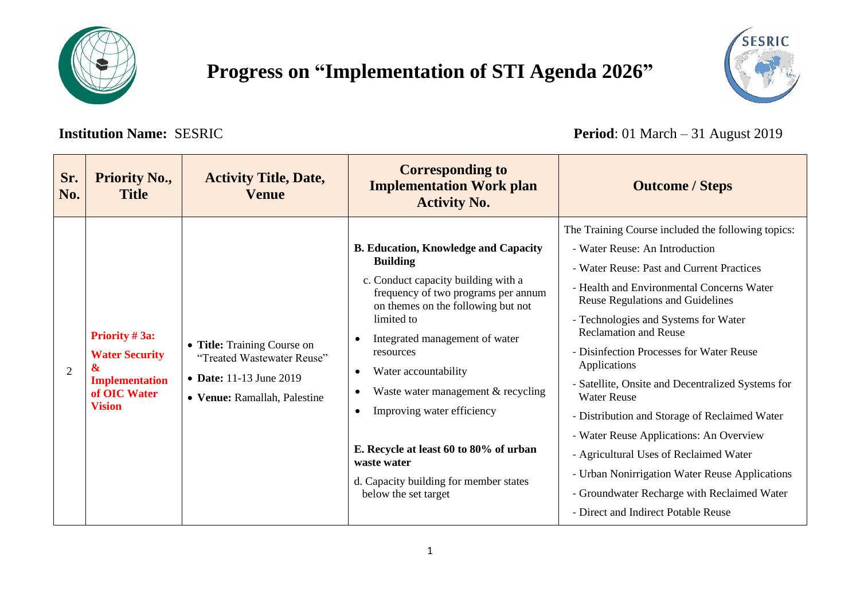

## **Progress on "Implementation of STI Agenda 2026"**

**Institution Name:** SESRIC **Period**: 01 March – 31 August 2019

| Sr.<br>No. | <b>Priority No.,</b><br><b>Title</b>                                                                                                  | <b>Activity Title, Date,</b><br><b>Venue</b>                                                                         | <b>Corresponding to</b><br><b>Implementation Work plan</b><br><b>Activity No.</b>                                                                                                                                                                                                                                                                                                                                                                                                                       | <b>Outcome / Steps</b>                                                                                                                                                                                                                                                                                                                                                                                                                                                                                                                                                                                                                                                                                                 |
|------------|---------------------------------------------------------------------------------------------------------------------------------------|----------------------------------------------------------------------------------------------------------------------|---------------------------------------------------------------------------------------------------------------------------------------------------------------------------------------------------------------------------------------------------------------------------------------------------------------------------------------------------------------------------------------------------------------------------------------------------------------------------------------------------------|------------------------------------------------------------------------------------------------------------------------------------------------------------------------------------------------------------------------------------------------------------------------------------------------------------------------------------------------------------------------------------------------------------------------------------------------------------------------------------------------------------------------------------------------------------------------------------------------------------------------------------------------------------------------------------------------------------------------|
| 2          | <b>Priority #3a:</b><br><b>Water Security</b><br>$\boldsymbol{\mathcal{X}}$<br><b>Implementation</b><br>of OIC Water<br><b>Vision</b> | • Title: Training Course on<br>"Treated Wastewater Reuse"<br>• Date: 11-13 June 2019<br>• Venue: Ramallah, Palestine | <b>B. Education, Knowledge and Capacity</b><br><b>Building</b><br>c. Conduct capacity building with a<br>frequency of two programs per annum<br>on themes on the following but not<br>limited to<br>Integrated management of water<br>resources<br>Water accountability<br>$\bullet$<br>Waste water management $&$ recycling<br>٠<br>Improving water efficiency<br>$\bullet$<br>E. Recycle at least 60 to 80% of urban<br>waste water<br>d. Capacity building for member states<br>below the set target | The Training Course included the following topics:<br>- Water Reuse: An Introduction<br>- Water Reuse: Past and Current Practices<br>- Health and Environmental Concerns Water<br><b>Reuse Regulations and Guidelines</b><br>- Technologies and Systems for Water<br><b>Reclamation and Reuse</b><br>- Disinfection Processes for Water Reuse<br>Applications<br>- Satellite, Onsite and Decentralized Systems for<br><b>Water Reuse</b><br>- Distribution and Storage of Reclaimed Water<br>- Water Reuse Applications: An Overview<br>- Agricultural Uses of Reclaimed Water<br>- Urban Nonirrigation Water Reuse Applications<br>- Groundwater Recharge with Reclaimed Water<br>- Direct and Indirect Potable Reuse |

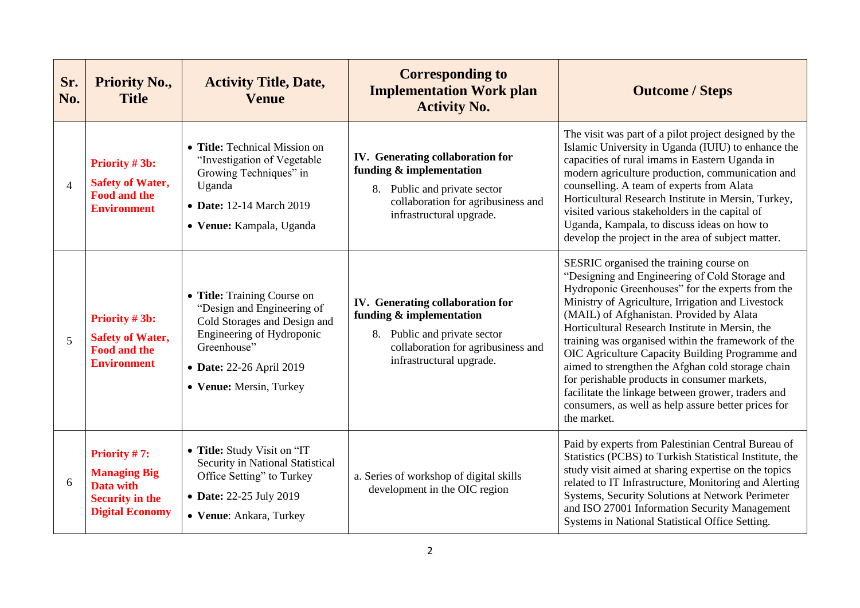| Sr.<br>No.     | <b>Priority No.,</b><br><b>Title</b>                                                                    | <b>Activity Title, Date,</b><br><b>Venue</b>                                                                                                                                                 | <b>Corresponding to</b><br><b>Implementation Work plan</b><br><b>Activity No.</b>                                                                                     | <b>Outcome / Steps</b>                                                                                                                                                                                                                                                                                                                                                                                                                                                                                                                                                                                                                      |
|----------------|---------------------------------------------------------------------------------------------------------|----------------------------------------------------------------------------------------------------------------------------------------------------------------------------------------------|-----------------------------------------------------------------------------------------------------------------------------------------------------------------------|---------------------------------------------------------------------------------------------------------------------------------------------------------------------------------------------------------------------------------------------------------------------------------------------------------------------------------------------------------------------------------------------------------------------------------------------------------------------------------------------------------------------------------------------------------------------------------------------------------------------------------------------|
| $\overline{4}$ | Priority #3b:<br><b>Safety of Water,</b><br><b>Food and the</b><br><b>Environment</b>                   | • Title: Technical Mission on<br>"Investigation of Vegetable<br>Growing Techniques" in<br>Uganda<br>• Date: 12-14 March 2019<br>• Venue: Kampala, Uganda                                     | <b>IV.</b> Generating collaboration for<br>funding & implementation<br>8. Public and private sector<br>collaboration for agribusiness and<br>infrastructural upgrade. | The visit was part of a pilot project designed by the<br>Islamic University in Uganda (IUIU) to enhance the<br>capacities of rural imams in Eastern Uganda in<br>modern agriculture production, communication and<br>counselling. A team of experts from Alata<br>Horticultural Research Institute in Mersin, Turkey,<br>visited various stakeholders in the capital of<br>Uganda, Kampala, to discuss ideas on how to<br>develop the project in the area of subject matter.                                                                                                                                                                |
| 5              | <b>Priority #3b:</b><br><b>Safety of Water,</b><br><b>Food and the</b><br><b>Environment</b>            | • Title: Training Course on<br>"Design and Engineering of<br>Cold Storages and Design and<br>Engineering of Hydroponic<br>Greenhouse"<br>• Date: 22-26 April 2019<br>• Venue: Mersin, Turkey | IV. Generating collaboration for<br>funding & implementation<br>8. Public and private sector<br>collaboration for agribusiness and<br>infrastructural upgrade.        | SESRIC organised the training course on<br>"Designing and Engineering of Cold Storage and<br>Hydroponic Greenhouses" for the experts from the<br>Ministry of Agriculture, Irrigation and Livestock<br>(MAIL) of Afghanistan. Provided by Alata<br>Horticultural Research Institute in Mersin, the<br>training was organised within the framework of the<br>OIC Agriculture Capacity Building Programme and<br>aimed to strengthen the Afghan cold storage chain<br>for perishable products in consumer markets,<br>facilitate the linkage between grower, traders and<br>consumers, as well as help assure better prices for<br>the market. |
| 6              | Priority $#7$ :<br><b>Managing Big</b><br>Data with<br><b>Security in the</b><br><b>Digital Economy</b> | • Title: Study Visit on "IT<br>Security in National Statistical<br>Office Setting" to Turkey<br>• Date: 22-25 July 2019<br>• Venue: Ankara, Turkey                                           | a. Series of workshop of digital skills<br>development in the OIC region                                                                                              | Paid by experts from Palestinian Central Bureau of<br>Statistics (PCBS) to Turkish Statistical Institute, the<br>study visit aimed at sharing expertise on the topics<br>related to IT Infrastructure, Monitoring and Alerting<br>Systems, Security Solutions at Network Perimeter<br>and ISO 27001 Information Security Management<br>Systems in National Statistical Office Setting.                                                                                                                                                                                                                                                      |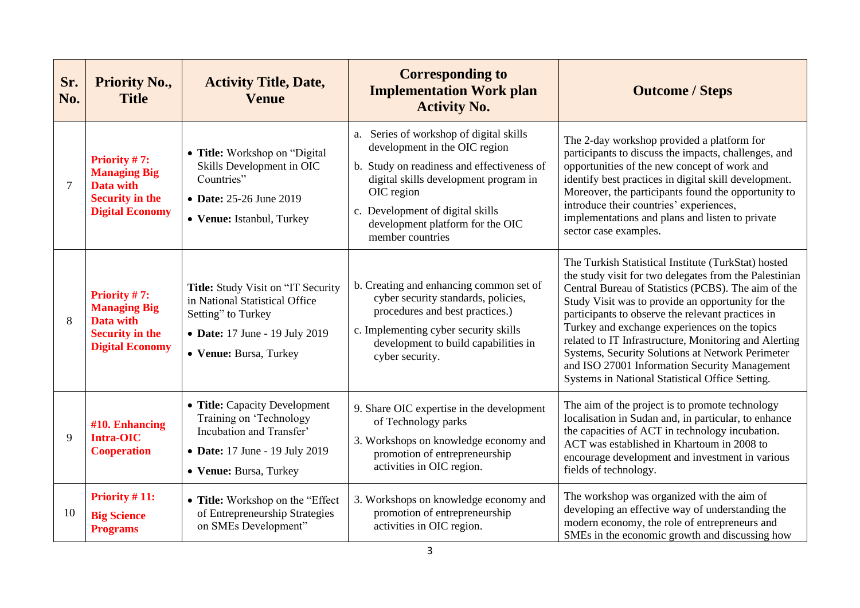| Sr.<br>No.     | <b>Priority No.,</b><br><b>Title</b>                                                                               | <b>Activity Title, Date,</b><br><b>Venue</b>                                                                                                           | <b>Corresponding to</b><br><b>Implementation Work plan</b><br><b>Activity No.</b>                                                                                                                                                                                         | <b>Outcome / Steps</b>                                                                                                                                                                                                                                                                                                                                                                                                                                                                                                                           |
|----------------|--------------------------------------------------------------------------------------------------------------------|--------------------------------------------------------------------------------------------------------------------------------------------------------|---------------------------------------------------------------------------------------------------------------------------------------------------------------------------------------------------------------------------------------------------------------------------|--------------------------------------------------------------------------------------------------------------------------------------------------------------------------------------------------------------------------------------------------------------------------------------------------------------------------------------------------------------------------------------------------------------------------------------------------------------------------------------------------------------------------------------------------|
| $\overline{7}$ | <b>Priority #7:</b><br><b>Managing Big</b><br>Data with<br><b>Security in the</b><br><b>Digital Economy</b>        | • Title: Workshop on "Digital<br>Skills Development in OIC<br>Countries"<br>• Date: 25-26 June 2019<br>• Venue: Istanbul, Turkey                       | a. Series of workshop of digital skills<br>development in the OIC region<br>b. Study on readiness and effectiveness of<br>digital skills development program in<br>OIC region<br>c. Development of digital skills<br>development platform for the OIC<br>member countries | The 2-day workshop provided a platform for<br>participants to discuss the impacts, challenges, and<br>opportunities of the new concept of work and<br>identify best practices in digital skill development.<br>Moreover, the participants found the opportunity to<br>introduce their countries' experiences,<br>implementations and plans and listen to private<br>sector case examples.                                                                                                                                                        |
| 8              | <b>Priority #7:</b><br><b>Managing Big</b><br><b>Data with</b><br><b>Security in the</b><br><b>Digital Economy</b> | Title: Study Visit on "IT Security<br>in National Statistical Office<br>Setting" to Turkey<br>• Date: 17 June - 19 July 2019<br>• Venue: Bursa, Turkey | b. Creating and enhancing common set of<br>cyber security standards, policies,<br>procedures and best practices.)<br>c. Implementing cyber security skills<br>development to build capabilities in<br>cyber security.                                                     | The Turkish Statistical Institute (TurkStat) hosted<br>the study visit for two delegates from the Palestinian<br>Central Bureau of Statistics (PCBS). The aim of the<br>Study Visit was to provide an opportunity for the<br>participants to observe the relevant practices in<br>Turkey and exchange experiences on the topics<br>related to IT Infrastructure, Monitoring and Alerting<br>Systems, Security Solutions at Network Perimeter<br>and ISO 27001 Information Security Management<br>Systems in National Statistical Office Setting. |
| 9              | #10. Enhancing<br><b>Intra-OIC</b><br><b>Cooperation</b>                                                           | • Title: Capacity Development<br>Training on 'Technology<br>Incubation and Transfer'<br>• Date: 17 June - 19 July 2019<br>• Venue: Bursa, Turkey       | 9. Share OIC expertise in the development<br>of Technology parks<br>3. Workshops on knowledge economy and<br>promotion of entrepreneurship<br>activities in OIC region.                                                                                                   | The aim of the project is to promote technology<br>localisation in Sudan and, in particular, to enhance<br>the capacities of ACT in technology incubation.<br>ACT was established in Khartoum in 2008 to<br>encourage development and investment in various<br>fields of technology.                                                                                                                                                                                                                                                             |
| 10             | Priority #11:<br><b>Big Science</b><br><b>Programs</b>                                                             | • Title: Workshop on the "Effect<br>of Entrepreneurship Strategies<br>on SMEs Development"                                                             | 3. Workshops on knowledge economy and<br>promotion of entrepreneurship<br>activities in OIC region.                                                                                                                                                                       | The workshop was organized with the aim of<br>developing an effective way of understanding the<br>modern economy, the role of entrepreneurs and<br>SMEs in the economic growth and discussing how                                                                                                                                                                                                                                                                                                                                                |